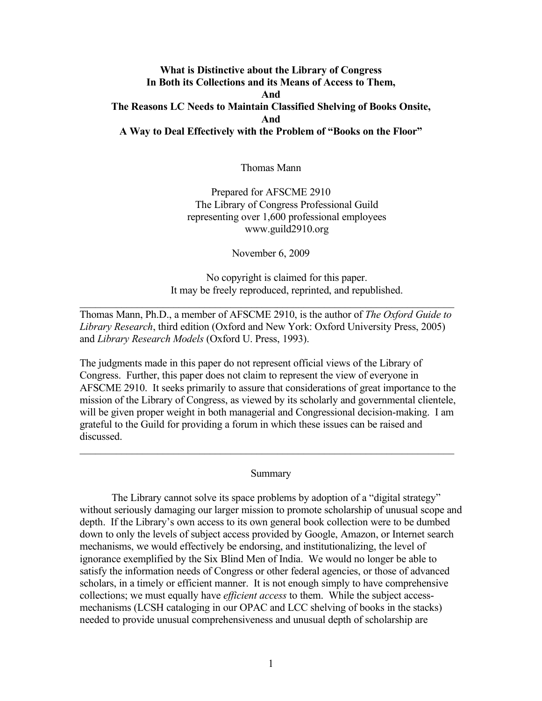# **What is Distinctive about the Library of Congress In Both its Collections and its Means of Access to Them, And The Reasons LC Needs to Maintain Classified Shelving of Books Onsite, And A Way to Deal Effectively with the Problem of "Books on the Floor"**

Thomas Mann

Prepared for AFSCME 2910 The Library of Congress Professional Guild representing over 1,600 professional employees www.guild2910.org

November 6, 2009

No copyright is claimed for this paper. It may be freely reproduced, reprinted, and republished.

Thomas Mann, Ph.D., a member of AFSCME 2910, is the author of *The Oxford Guide to Library Research*, third edition (Oxford and New York: Oxford University Press, 2005) and *Library Research Models* (Oxford U. Press, 1993).

 $\mathcal{L}_\text{max}$  , and the contribution of the contribution of the contribution of the contribution of the contribution of the contribution of the contribution of the contribution of the contribution of the contribution of t

The judgments made in this paper do not represent official views of the Library of Congress. Further, this paper does not claim to represent the view of everyone in AFSCME 2910. It seeks primarily to assure that considerations of great importance to the mission of the Library of Congress, as viewed by its scholarly and governmental clientele, will be given proper weight in both managerial and Congressional decision-making. I am grateful to the Guild for providing a forum in which these issues can be raised and discussed.

### Summary

 $\mathcal{L}_\text{max} = \mathcal{L}_\text{max} = \mathcal{L}_\text{max} = \mathcal{L}_\text{max} = \mathcal{L}_\text{max} = \mathcal{L}_\text{max} = \mathcal{L}_\text{max} = \mathcal{L}_\text{max} = \mathcal{L}_\text{max} = \mathcal{L}_\text{max} = \mathcal{L}_\text{max} = \mathcal{L}_\text{max} = \mathcal{L}_\text{max} = \mathcal{L}_\text{max} = \mathcal{L}_\text{max} = \mathcal{L}_\text{max} = \mathcal{L}_\text{max} = \mathcal{L}_\text{max} = \mathcal{$ 

The Library cannot solve its space problems by adoption of a "digital strategy" without seriously damaging our larger mission to promote scholarship of unusual scope and depth. If the Library's own access to its own general book collection were to be dumbed down to only the levels of subject access provided by Google, Amazon, or Internet search mechanisms, we would effectively be endorsing, and institutionalizing, the level of ignorance exemplified by the Six Blind Men of India. We would no longer be able to satisfy the information needs of Congress or other federal agencies, or those of advanced scholars, in a timely or efficient manner. It is not enough simply to have comprehensive collections; we must equally have *efficient access* to them. While the subject accessmechanisms (LCSH cataloging in our OPAC and LCC shelving of books in the stacks) needed to provide unusual comprehensiveness and unusual depth of scholarship are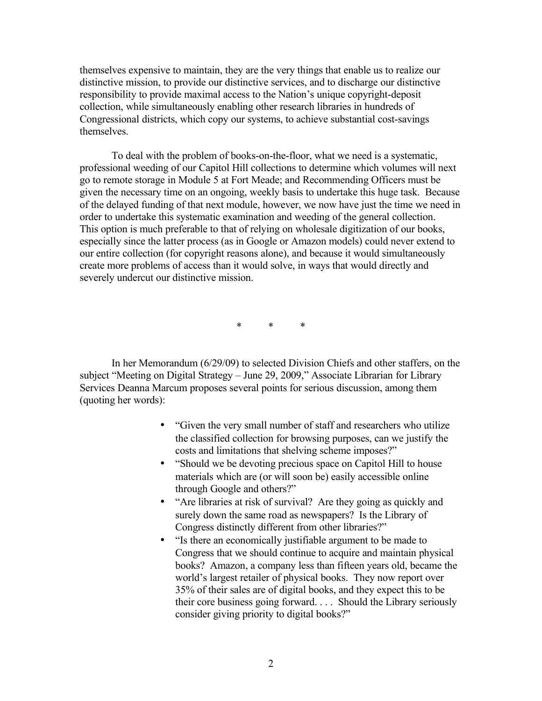themselves expensive to maintain, they are the very things that enable us to realize our distinctive mission, to provide our distinctive services, and to discharge our distinctive responsibility to provide maximal access to the Nation's unique copyright-deposit collection, while simultaneously enabling other research libraries in hundreds of Congressional districts, which copy our systems, to achieve substantial cost-savings themselves.

To deal with the problem of books-on-the-floor, what we need is a systematic, professional weeding of our Capitol Hill collections to determine which volumes will next go to remote storage in Module 5 at Fort Meade; and Recommending Officers must be given the necessary time on an ongoing, weekly basis to undertake this huge task. Because of the delayed funding of that next module, however, we now have just the time we need in order to undertake this systematic examination and weeding of the general collection. This option is much preferable to that of relying on wholesale digitization of our books, especially since the latter process (as in Google or Amazon models) could never extend to our entire collection (for copyright reasons alone), and because it would simultaneously create more problems of access than it would solve, in ways that would directly and severely undercut our distinctive mission.

\* \* \*

In her Memorandum (6/29/09) to selected Division Chiefs and other staffers, on the subject "Meeting on Digital Strategy – June 29, 2009," Associate Librarian for Library Services Deanna Marcum proposes several points for serious discussion, among them (quoting her words):

- "Given the very small number of staff and researchers who utilize the classified collection for browsing purposes, can we justify the costs and limitations that shelving scheme imposes?"
- "Should we be devoting precious space on Capitol Hill to house materials which are (or will soon be) easily accessible online through Google and others?"
- "Are libraries at risk of survival? Are they going as quickly and surely down the same road as newspapers? Is the Library of Congress distinctly different from other libraries?"
- "Is there an economically justifiable argument to be made to Congress that we should continue to acquire and maintain physical books? Amazon, a company less than fifteen years old, became the world's largest retailer of physical books. They now report over 35% of their sales are of digital books, and they expect this to be their core business going forward. . . . Should the Library seriously consider giving priority to digital books?"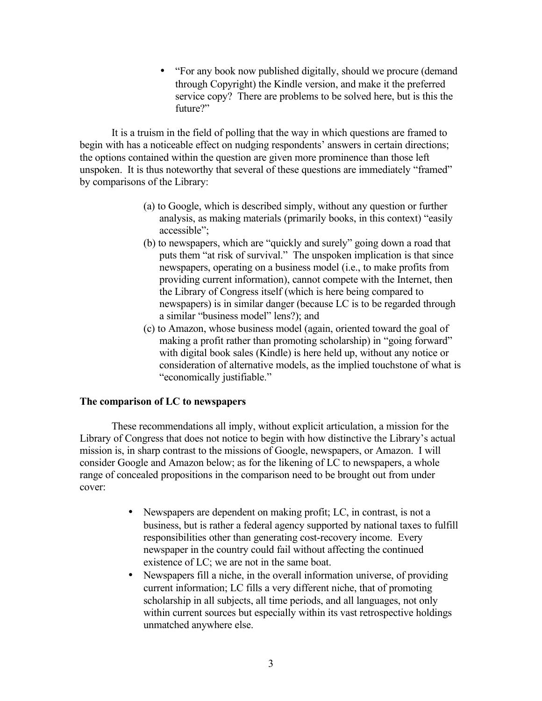• "For any book now published digitally, should we procure (demand through Copyright) the Kindle version, and make it the preferred service copy? There are problems to be solved here, but is this the future?"

It is a truism in the field of polling that the way in which questions are framed to begin with has a noticeable effect on nudging respondents' answers in certain directions; the options contained within the question are given more prominence than those left unspoken. It is thus noteworthy that several of these questions are immediately "framed" by comparisons of the Library:

- (a) to Google, which is described simply, without any question or further analysis, as making materials (primarily books, in this context) "easily accessible";
- (b) to newspapers, which are "quickly and surely" going down a road that puts them "at risk of survival." The unspoken implication is that since newspapers, operating on a business model (i.e., to make profits from providing current information), cannot compete with the Internet, then the Library of Congress itself (which is here being compared to newspapers) is in similar danger (because LC is to be regarded through a similar "business model" lens?); and
- (c) to Amazon, whose business model (again, oriented toward the goal of making a profit rather than promoting scholarship) in "going forward" with digital book sales (Kindle) is here held up, without any notice or consideration of alternative models, as the implied touchstone of what is "economically justifiable."

## **The comparison of LC to newspapers**

These recommendations all imply, without explicit articulation, a mission for the Library of Congress that does not notice to begin with how distinctive the Library's actual mission is, in sharp contrast to the missions of Google, newspapers, or Amazon. I will consider Google and Amazon below; as for the likening of LC to newspapers, a whole range of concealed propositions in the comparison need to be brought out from under cover:

- Newspapers are dependent on making profit; LC, in contrast, is not a business, but is rather a federal agency supported by national taxes to fulfill responsibilities other than generating cost-recovery income. Every newspaper in the country could fail without affecting the continued existence of LC; we are not in the same boat.
- Newspapers fill a niche, in the overall information universe, of providing current information; LC fills a very different niche, that of promoting scholarship in all subjects, all time periods, and all languages, not only within current sources but especially within its vast retrospective holdings unmatched anywhere else.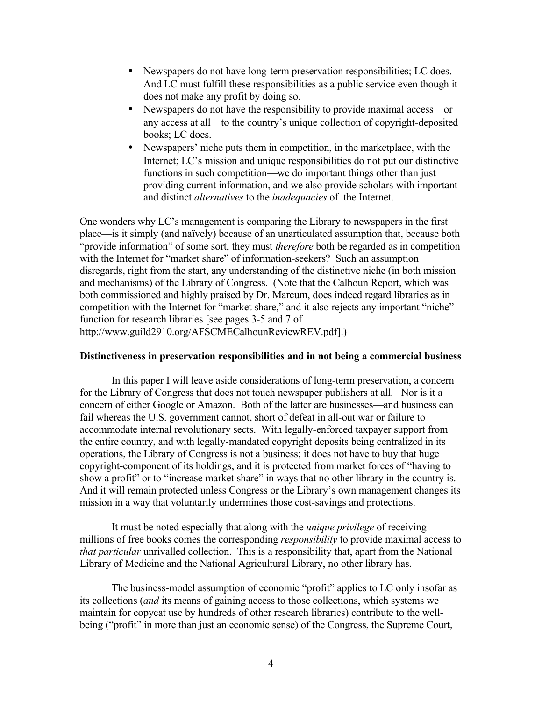- Newspapers do not have long-term preservation responsibilities; LC does. And LC must fulfill these responsibilities as a public service even though it does not make any profit by doing so.
- Newspapers do not have the responsibility to provide maximal access—or any access at all—to the country's unique collection of copyright-deposited books; LC does.
- Newspapers' niche puts them in competition, in the marketplace, with the Internet; LC's mission and unique responsibilities do not put our distinctive functions in such competition—we do important things other than just providing current information, and we also provide scholars with important and distinct *alternatives* to the *inadequacies* of the Internet.

One wonders why LC's management is comparing the Library to newspapers in the first place—is it simply (and naïvely) because of an unarticulated assumption that, because both "provide information" of some sort, they must *therefore* both be regarded as in competition with the Internet for "market share" of information-seekers? Such an assumption disregards, right from the start, any understanding of the distinctive niche (in both mission and mechanisms) of the Library of Congress. (Note that the Calhoun Report, which was both commissioned and highly praised by Dr. Marcum, does indeed regard libraries as in competition with the Internet for "market share," and it also rejects any important "niche" function for research libraries [see pages 3-5 and 7 of http://www.guild2910.org/AFSCMECalhounReviewREV.pdf].)

## **Distinctiveness in preservation responsibilities and in not being a commercial business**

In this paper I will leave aside considerations of long-term preservation, a concern for the Library of Congress that does not touch newspaper publishers at all. Nor is it a concern of either Google or Amazon. Both of the latter are businesses—and business can fail whereas the U.S. government cannot, short of defeat in all-out war or failure to accommodate internal revolutionary sects. With legally-enforced taxpayer support from the entire country, and with legally-mandated copyright deposits being centralized in its operations, the Library of Congress is not a business; it does not have to buy that huge copyright-component of its holdings, and it is protected from market forces of "having to show a profit" or to "increase market share" in ways that no other library in the country is. And it will remain protected unless Congress or the Library's own management changes its mission in a way that voluntarily undermines those cost-savings and protections.

It must be noted especially that along with the *unique privilege* of receiving millions of free books comes the corresponding *responsibility* to provide maximal access to *that particular* unrivalled collection. This is a responsibility that, apart from the National Library of Medicine and the National Agricultural Library, no other library has.

The business-model assumption of economic "profit" applies to LC only insofar as its collections (*and* its means of gaining access to those collections, which systems we maintain for copycat use by hundreds of other research libraries) contribute to the wellbeing ("profit" in more than just an economic sense) of the Congress, the Supreme Court,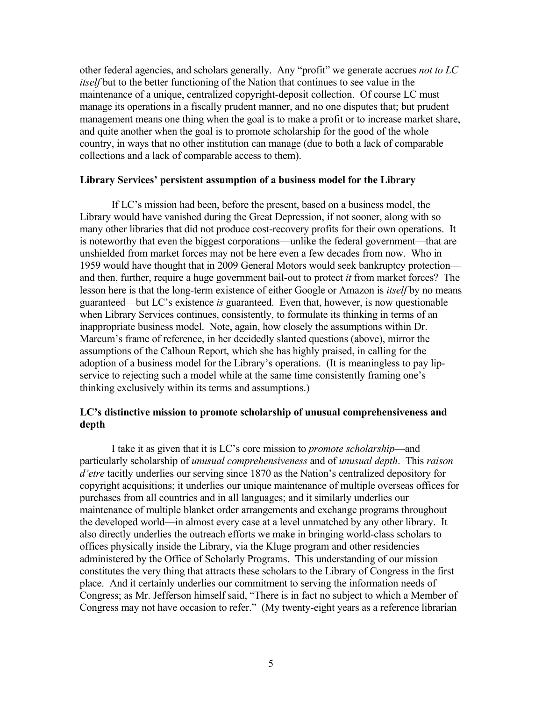other federal agencies, and scholars generally. Any "profit" we generate accrues *not to LC itself* but to the better functioning of the Nation that continues to see value in the maintenance of a unique, centralized copyright-deposit collection. Of course LC must manage its operations in a fiscally prudent manner, and no one disputes that; but prudent management means one thing when the goal is to make a profit or to increase market share, and quite another when the goal is to promote scholarship for the good of the whole country, in ways that no other institution can manage (due to both a lack of comparable collections and a lack of comparable access to them).

### **Library Services' persistent assumption of a business model for the Library**

If LC's mission had been, before the present, based on a business model, the Library would have vanished during the Great Depression, if not sooner, along with so many other libraries that did not produce cost-recovery profits for their own operations. It is noteworthy that even the biggest corporations—unlike the federal government—that are unshielded from market forces may not be here even a few decades from now. Who in 1959 would have thought that in 2009 General Motors would seek bankruptcy protection and then, further, require a huge government bail-out to protect *it* from market forces? The lesson here is that the long-term existence of either Google or Amazon is *itself* by no means guaranteed—but LC's existence *is* guaranteed. Even that, however, is now questionable when Library Services continues, consistently, to formulate its thinking in terms of an inappropriate business model. Note, again, how closely the assumptions within Dr. Marcum's frame of reference, in her decidedly slanted questions (above), mirror the assumptions of the Calhoun Report, which she has highly praised, in calling for the adoption of a business model for the Library's operations. (It is meaningless to pay lipservice to rejecting such a model while at the same time consistently framing one's thinking exclusively within its terms and assumptions.)

# **LC's distinctive mission to promote scholarship of unusual comprehensiveness and depth**

I take it as given that it is LC's core mission to *promote scholarship*—and particularly scholarship of *unusual comprehensiveness* and of *unusual depth*. This *raison d'etre* tacitly underlies our serving since 1870 as the Nation's centralized depository for copyright acquisitions; it underlies our unique maintenance of multiple overseas offices for purchases from all countries and in all languages; and it similarly underlies our maintenance of multiple blanket order arrangements and exchange programs throughout the developed world—in almost every case at a level unmatched by any other library. It also directly underlies the outreach efforts we make in bringing world-class scholars to offices physically inside the Library, via the Kluge program and other residencies administered by the Office of Scholarly Programs. This understanding of our mission constitutes the very thing that attracts these scholars to the Library of Congress in the first place. And it certainly underlies our commitment to serving the information needs of Congress; as Mr. Jefferson himself said, "There is in fact no subject to which a Member of Congress may not have occasion to refer." (My twenty-eight years as a reference librarian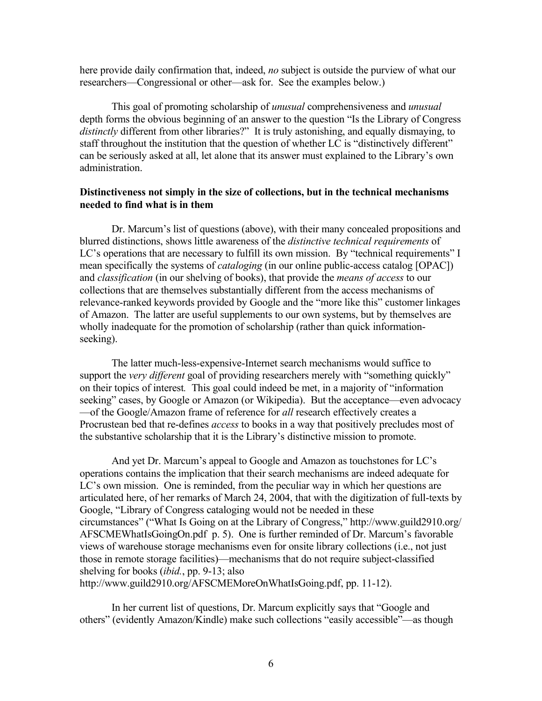here provide daily confirmation that, indeed, *no* subject is outside the purview of what our researchers—Congressional or other—ask for. See the examples below.)

This goal of promoting scholarship of *unusual* comprehensiveness and *unusual* depth forms the obvious beginning of an answer to the question "Is the Library of Congress *distinctly* different from other libraries?" It is truly astonishing, and equally dismaying, to staff throughout the institution that the question of whether LC is "distinctively different" can be seriously asked at all, let alone that its answer must explained to the Library's own administration.

# **Distinctiveness not simply in the size of collections, but in the technical mechanisms needed to find what is in them**

Dr. Marcum's list of questions (above), with their many concealed propositions and blurred distinctions, shows little awareness of the *distinctive technical requirements* of LC's operations that are necessary to fulfill its own mission. By "technical requirements" I mean specifically the systems of *cataloging* (in our online public-access catalog [OPAC]) and *classification* (in our shelving of books), that provide the *means of access* to our collections that are themselves substantially different from the access mechanisms of relevance-ranked keywords provided by Google and the "more like this" customer linkages of Amazon. The latter are useful supplements to our own systems, but by themselves are wholly inadequate for the promotion of scholarship (rather than quick informationseeking).

The latter much-less-expensive-Internet search mechanisms would suffice to support the *very different* goal of providing researchers merely with "something quickly" on their topics of interest*.* This goal could indeed be met, in a majority of "information seeking" cases, by Google or Amazon (or Wikipedia). But the acceptance—even advocacy —of the Google/Amazon frame of reference for *all* research effectively creates a Procrustean bed that re-defines *access* to books in a way that positively precludes most of the substantive scholarship that it is the Library's distinctive mission to promote.

And yet Dr. Marcum's appeal to Google and Amazon as touchstones for LC's operations contains the implication that their search mechanisms are indeed adequate for LC's own mission. One is reminded, from the peculiar way in which her questions are articulated here, of her remarks of March 24, 2004, that with the digitization of full-texts by Google, "Library of Congress cataloging would not be needed in these circumstances" ("What Is Going on at the Library of Congress," [http://www.guild2910.org/](http://www.guild2910.org/AFSCMEWhatIsGoingOn.pdf) [AFSCMEWhatIsGoingOn.pdf](http://www.guild2910.org/AFSCMEWhatIsGoingOn.pdf) p. 5). One is further reminded of Dr. Marcum's favorable views of warehouse storage mechanisms even for onsite library collections (i.e., not just those in remote storage facilities)—mechanisms that do not require subject-classified shelving for books (*ibid.*, pp. 9-13; also [http://www.guild2910.org/AFSCMEMoreOnWhatIsGoing.pdf,](http://www.guild2910.org/AFSCMEMoreOnWhatIsGoing.pdf) pp. 11-12).

In her current list of questions, Dr. Marcum explicitly says that "Google and others" (evidently Amazon/Kindle) make such collections "easily accessible"—as though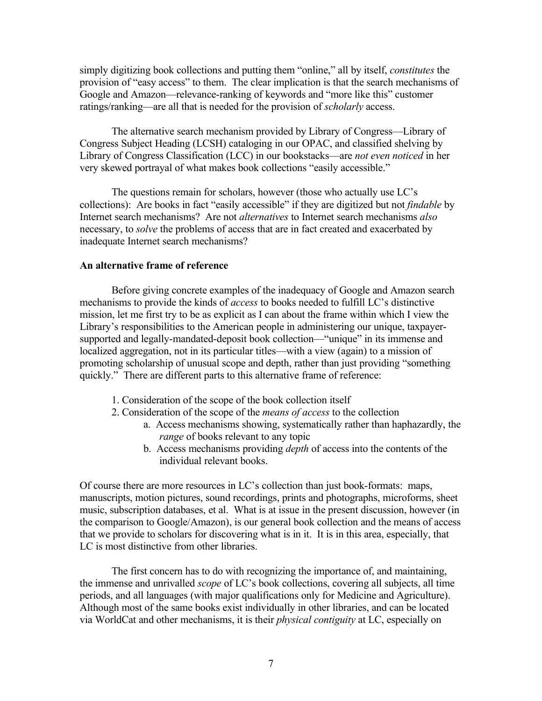simply digitizing book collections and putting them "online," all by itself, *constitutes* the provision of "easy access" to them. The clear implication is that the search mechanisms of Google and Amazon—relevance-ranking of keywords and "more like this" customer ratings/ranking—are all that is needed for the provision of *scholarly* access.

The alternative search mechanism provided by Library of Congress—Library of Congress Subject Heading (LCSH) cataloging in our OPAC, and classified shelving by Library of Congress Classification (LCC) in our bookstacks—are *not even noticed* in her very skewed portrayal of what makes book collections "easily accessible."

The questions remain for scholars, however (those who actually use LC's collections): Are books in fact "easily accessible" if they are digitized but not *findable* by Internet search mechanisms? Are not *alternatives* to Internet search mechanisms *also* necessary, to *solve* the problems of access that are in fact created and exacerbated by inadequate Internet search mechanisms?

### **An alternative frame of reference**

Before giving concrete examples of the inadequacy of Google and Amazon search mechanisms to provide the kinds of *access* to books needed to fulfill LC's distinctive mission, let me first try to be as explicit as I can about the frame within which I view the Library's responsibilities to the American people in administering our unique, taxpayersupported and legally-mandated-deposit book collection—"unique" in its immense and localized aggregation, not in its particular titles—with a view (again) to a mission of promoting scholarship of unusual scope and depth, rather than just providing "something quickly." There are different parts to this alternative frame of reference:

- 1. Consideration of the scope of the book collection itself
- 2. Consideration of the scope of the *means of access* to the collection
	- a. Access mechanisms showing, systematically rather than haphazardly, the *range* of books relevant to any topic
	- b. Access mechanisms providing *depth* of access into the contents of the individual relevant books.

Of course there are more resources in LC's collection than just book-formats: maps, manuscripts, motion pictures, sound recordings, prints and photographs, microforms, sheet music, subscription databases, et al. What is at issue in the present discussion, however (in the comparison to Google/Amazon), is our general book collection and the means of access that we provide to scholars for discovering what is in it. It is in this area, especially, that LC is most distinctive from other libraries.

The first concern has to do with recognizing the importance of, and maintaining, the immense and unrivalled *scope* of LC's book collections, covering all subjects, all time periods, and all languages (with major qualifications only for Medicine and Agriculture). Although most of the same books exist individually in other libraries, and can be located via WorldCat and other mechanisms, it is their *physical contiguity* at LC, especially on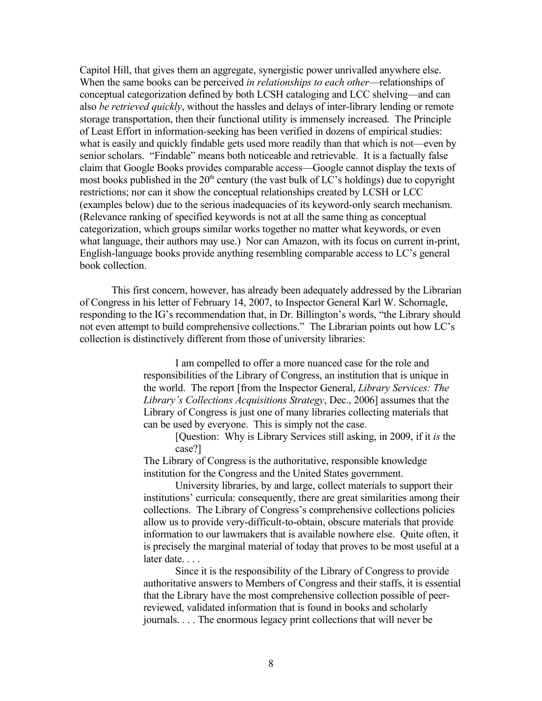Capitol Hill, that gives them an aggregate, synergistic power unrivalled anywhere else. When the same books can be perceived *in relationships to each other*—relationships of conceptual categorization defined by both LCSH cataloging and LCC shelving—and can also *be retrieved quickly*, without the hassles and delays of inter-library lending or remote storage transportation, then their functional utility is immensely increased. The Principle of Least Effort in information-seeking has been verified in dozens of empirical studies: what is easily and quickly findable gets used more readily than that which is not—even by senior scholars. "Findable" means both noticeable and retrievable. It is a factually false claim that Google Books provides comparable access—Google cannot display the texts of most books published in the  $20<sup>th</sup>$  century (the vast bulk of LC's holdings) due to copyright restrictions; nor can it show the conceptual relationships created by LCSH or LCC (examples below) due to the serious inadequacies of its keyword-only search mechanism. (Relevance ranking of specified keywords is not at all the same thing as conceptual categorization, which groups similar works together no matter what keywords, or even what language, their authors may use.) Nor can Amazon, with its focus on current in-print, English-language books provide anything resembling comparable access to LC's general book collection.

This first concern, however, has already been adequately addressed by the Librarian of Congress in his letter of February 14, 2007, to Inspector General Karl W. Schornagle, responding to the IG's recommendation that, in Dr. Billington's words, "the Library should not even attempt to build comprehensive collections." The Librarian points out how LC's collection is distinctively different from those of university libraries:

> I am compelled to offer a more nuanced case for the role and responsibilities of the Library of Congress, an institution that is unique in the world. The report [from the Inspector General, *Library Services: The Library's Collections Acquisitions Strategy*, Dec., 2006] assumes that the Library of Congress is just one of many libraries collecting materials that can be used by everyone. This is simply not the case.

[Question: Why is Library Services still asking, in 2009, if it *is* the case?]

The Library of Congress is the authoritative, responsible knowledge institution for the Congress and the United States government.

University libraries, by and large, collect materials to support their institutions' curricula: consequently, there are great similarities among their collections. The Library of Congress's comprehensive collections policies allow us to provide very-difficult-to-obtain, obscure materials that provide information to our lawmakers that is available nowhere else. Quite often, it is precisely the marginal material of today that proves to be most useful at a later date. . . .

Since it is the responsibility of the Library of Congress to provide authoritative answers to Members of Congress and their staffs, it is essential that the Library have the most comprehensive collection possible of peerreviewed, validated information that is found in books and scholarly journals. . . . The enormous legacy print collections that will never be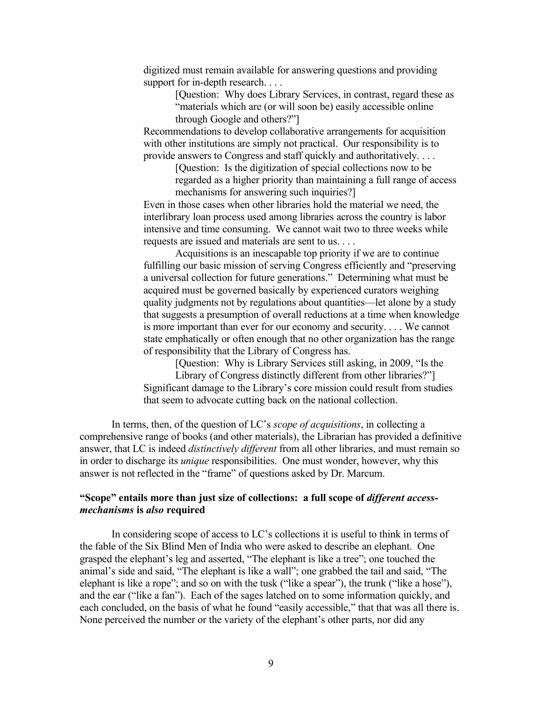digitized must remain available for answering questions and providing support for in-depth research. . . .

> [Question: Why does Library Services, in contrast, regard these as "materials which are (or will soon be) easily accessible online through Google and others?"]

Recommendations to develop collaborative arrangements for acquisition with other institutions are simply not practical. Our responsibility is to provide answers to Congress and staff quickly and authoritatively. . . .

> [Question: Is the digitization of special collections now to be regarded as a higher priority than maintaining a full range of access mechanisms for answering such inquiries?]

Even in those cases when other libraries hold the material we need, the interlibrary loan process used among libraries across the country is labor intensive and time consuming. We cannot wait two to three weeks while requests are issued and materials are sent to us. . . .

Acquisitions is an inescapable top priority if we are to continue fulfilling our basic mission of serving Congress efficiently and "preserving a universal collection for future generations." Determining what must be acquired must be governed basically by experienced curators weighing quality judgments not by regulations about quantities—let alone by a study that suggests a presumption of overall reductions at a time when knowledge is more important than ever for our economy and security. . . . We cannot state emphatically or often enough that no other organization has the range of responsibility that the Library of Congress has.

[Question: Why is Library Services still asking, in 2009, "Is the Library of Congress distinctly different from other libraries?"] Significant damage to the Library's core mission could result from studies that seem to advocate cutting back on the national collection.

In terms, then, of the question of LC's *scope of acquisitions*, in collecting a comprehensive range of books (and other materials), the Librarian has provided a definitive answer, that LC is indeed *distinctively different* from all other libraries, and must remain so in order to discharge its *unique* responsibilities. One must wonder, however, why this answer is not reflected in the "frame" of questions asked by Dr. Marcum.

# **"Scope" entails more than just size of collections: a full scope of** *different accessmechanisms* **is** *also* **required**

In considering scope of access to LC's collections it is useful to think in terms of the fable of the Six Blind Men of India who were asked to describe an elephant. One grasped the elephant's leg and asserted, "The elephant is like a tree"; one touched the animal's side and said, "The elephant is like a wall"; one grabbed the tail and said, "The elephant is like a rope"; and so on with the tusk ("like a spear"), the trunk ("like a hose"), and the ear ("like a fan"). Each of the sages latched on to some information quickly, and each concluded, on the basis of what he found "easily accessible," that that was all there is. None perceived the number or the variety of the elephant's other parts, nor did any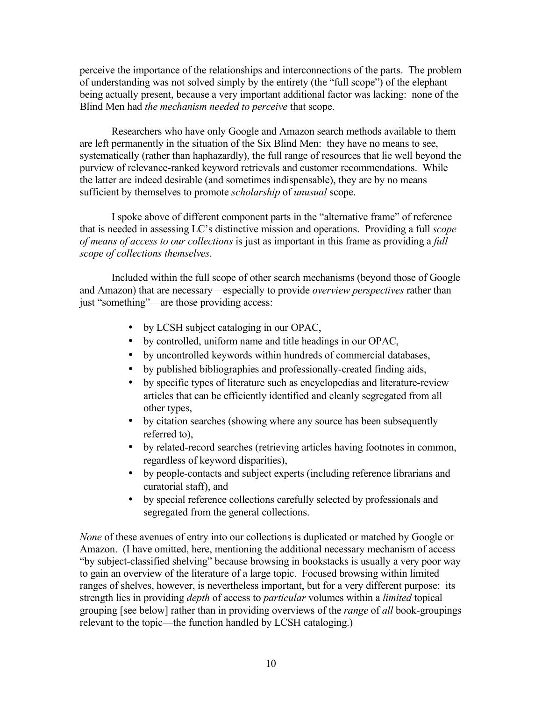perceive the importance of the relationships and interconnections of the parts. The problem of understanding was not solved simply by the entirety (the "full scope") of the elephant being actually present, because a very important additional factor was lacking: none of the Blind Men had *the mechanism needed to perceive* that scope.

Researchers who have only Google and Amazon search methods available to them are left permanently in the situation of the Six Blind Men: they have no means to see, systematically (rather than haphazardly), the full range of resources that lie well beyond the purview of relevance-ranked keyword retrievals and customer recommendations. While the latter are indeed desirable (and sometimes indispensable), they are by no means sufficient by themselves to promote *scholarship* of *unusual* scope.

I spoke above of different component parts in the "alternative frame" of reference that is needed in assessing LC's distinctive mission and operations. Providing a full *scope of means of access to our collections* is just as important in this frame as providing a *full scope of collections themselves*.

Included within the full scope of other search mechanisms (beyond those of Google and Amazon) that are necessary—especially to provide *overview perspectives* rather than just "something"—are those providing access:

- by LCSH subject cataloging in our OPAC,
- by controlled, uniform name and title headings in our OPAC,
- by uncontrolled keywords within hundreds of commercial databases,
- by published bibliographies and professionally-created finding aids,
- by specific types of literature such as encyclopedias and literature-review articles that can be efficiently identified and cleanly segregated from all other types,
- by citation searches (showing where any source has been subsequently referred to),
- by related-record searches (retrieving articles having footnotes in common, regardless of keyword disparities),
- by people-contacts and subject experts (including reference librarians and curatorial staff), and
- by special reference collections carefully selected by professionals and segregated from the general collections.

*None* of these avenues of entry into our collections is duplicated or matched by Google or Amazon. (I have omitted, here, mentioning the additional necessary mechanism of access "by subject-classified shelving" because browsing in bookstacks is usually a very poor way to gain an overview of the literature of a large topic. Focused browsing within limited ranges of shelves, however, is nevertheless important, but for a very different purpose: its strength lies in providing *depth* of access to *particular* volumes within a *limited* topical grouping [see below] rather than in providing overviews of the *range* of *all* book-groupings relevant to the topic—the function handled by LCSH cataloging.)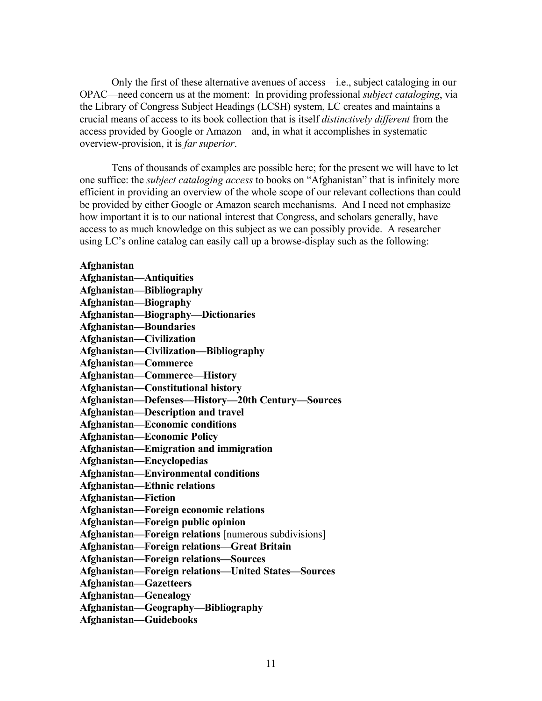Only the first of these alternative avenues of access—i.e., subject cataloging in our OPAC—need concern us at the moment: In providing professional *subject cataloging*, via the Library of Congress Subject Headings (LCSH) system, LC creates and maintains a crucial means of access to its book collection that is itself *distinctively different* from the access provided by Google or Amazon—and, in what it accomplishes in systematic overview-provision, it is *far superior*.

Tens of thousands of examples are possible here; for the present we will have to let one suffice: the *subject cataloging access* to books on "Afghanistan" that is infinitely more efficient in providing an overview of the whole scope of our relevant collections than could be provided by either Google or Amazon search mechanisms. And I need not emphasize how important it is to our national interest that Congress, and scholars generally, have access to as much knowledge on this subject as we can possibly provide. A researcher using LC's online catalog can easily call up a browse-display such as the following:

## **Afghanistan**

| <b>Afghanistan-Antiquities</b>                        |
|-------------------------------------------------------|
| Afghanistan-Bibliography                              |
| Afghanistan-Biography                                 |
| Afghanistan-Biography-Dictionaries                    |
| <b>Afghanistan-Boundaries</b>                         |
| Afghanistan-Civilization                              |
| Afghanistan-Civilization-Bibliography                 |
| Afghanistan-Commerce                                  |
| Afghanistan-Commerce-History                          |
| Afghanistan-Constitutional history                    |
| Afghanistan-Defenses-History-20th Century-Sources     |
| Afghanistan-Description and travel                    |
| <b>Afghanistan-Economic conditions</b>                |
| <b>Afghanistan—Economic Policy</b>                    |
| Afghanistan-Emigration and immigration                |
| Afghanistan-Encyclopedias                             |
| <b>Afghanistan—Environmental conditions</b>           |
| <b>Afghanistan—Ethnic relations</b>                   |
| Afghanistan-Fiction                                   |
| Afghanistan-Foreign economic relations                |
| Afghanistan-Foreign public opinion                    |
| Afghanistan-Foreign relations [numerous subdivisions] |
| Afghanistan-Foreign relations-Great Britain           |
| <b>Afghanistan-Foreign relations-Sources</b>          |
| Afghanistan-Foreign relations-United States-Sources   |
| <b>Afghanistan-Gazetteers</b>                         |
| <b>Afghanistan-Genealogy</b>                          |
| Afghanistan-Geography-Bibliography                    |
| Afghanistan-Guidebooks                                |
|                                                       |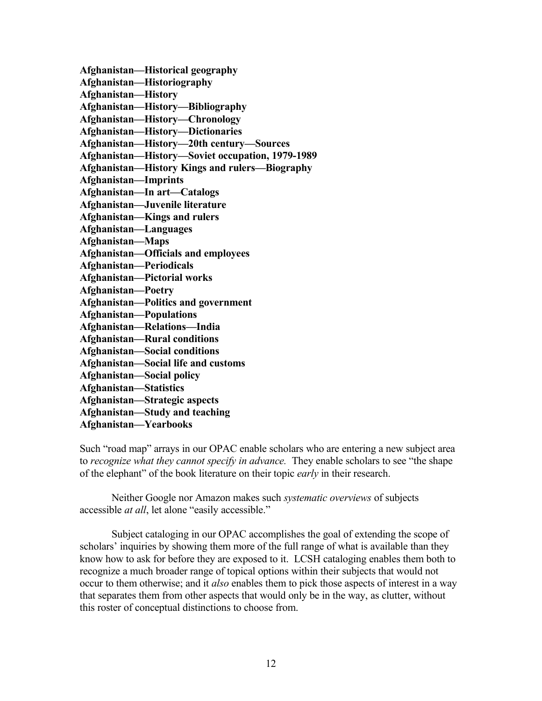**Afghanistan—Historical geography Afghanistan—Historiography Afghanistan—History Afghanistan—History—Bibliography Afghanistan—History—Chronology Afghanistan—History—Dictionaries Afghanistan—History—20th century—Sources Afghanistan—History—Soviet occupation, 1979-1989 Afghanistan—History Kings and rulers—Biography Afghanistan—Imprints Afghanistan—In art—Catalogs Afghanistan—Juvenile literature Afghanistan—Kings and rulers Afghanistan—Languages Afghanistan—Maps Afghanistan—Officials and employees Afghanistan—Periodicals Afghanistan—Pictorial works Afghanistan—Poetry Afghanistan—Politics and government Afghanistan—Populations Afghanistan—Relations—India Afghanistan—Rural conditions Afghanistan—Social conditions Afghanistan—Social life and customs Afghanistan—Social policy Afghanistan—Statistics Afghanistan—Strategic aspects Afghanistan—Study and teaching Afghanistan—Yearbooks**

Such "road map" arrays in our OPAC enable scholars who are entering a new subject area to *recognize what they cannot specify in advance.* They enable scholars to see "the shape of the elephant" of the book literature on their topic *early* in their research.

Neither Google nor Amazon makes such *systematic overviews* of subjects accessible *at all*, let alone "easily accessible."

Subject cataloging in our OPAC accomplishes the goal of extending the scope of scholars' inquiries by showing them more of the full range of what is available than they know how to ask for before they are exposed to it. LCSH cataloging enables them both to recognize a much broader range of topical options within their subjects that would not occur to them otherwise; and it *also* enables them to pick those aspects of interest in a way that separates them from other aspects that would only be in the way, as clutter, without this roster of conceptual distinctions to choose from.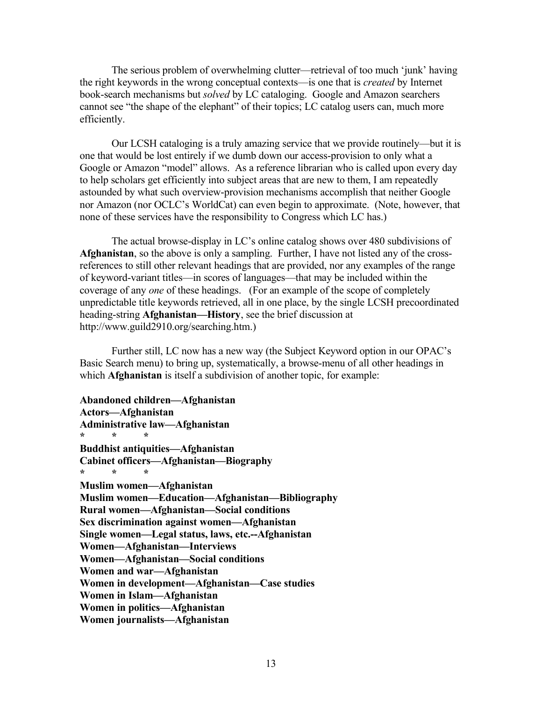The serious problem of overwhelming clutter—retrieval of too much 'junk' having the right keywords in the wrong conceptual contexts—is one that is *created* by Internet book-search mechanisms but *solved* by LC cataloging. Google and Amazon searchers cannot see "the shape of the elephant" of their topics; LC catalog users can, much more efficiently.

Our LCSH cataloging is a truly amazing service that we provide routinely—but it is one that would be lost entirely if we dumb down our access-provision to only what a Google or Amazon "model" allows. As a reference librarian who is called upon every day to help scholars get efficiently into subject areas that are new to them, I am repeatedly astounded by what such overview-provision mechanisms accomplish that neither Google nor Amazon (nor OCLC's WorldCat) can even begin to approximate. (Note, however, that none of these services have the responsibility to Congress which LC has.)

The actual browse-display in LC's online catalog shows over 480 subdivisions of **Afghanistan**, so the above is only a sampling. Further, I have not listed any of the crossreferences to still other relevant headings that are provided, nor any examples of the range of keyword-variant titles—in scores of languages—that may be included within the coverage of any *one* of these headings. (For an example of the scope of completely unpredictable title keywords retrieved, all in one place, by the single LCSH precoordinated heading-string **Afghanistan—History**, see the brief discussion at http://www.guild2910.org/searching.htm.)

Further still, LC now has a new way (the Subject Keyword option in our OPAC's Basic Search menu) to bring up, systematically, a browse-menu of all other headings in which **Afghanistan** is itself a subdivision of another topic, for example:

### **Abandoned children—Afghanistan**

**Actors—Afghanistan Administrative law—Afghanistan \* \* \* Buddhist antiquities—Afghanistan Cabinet officers—Afghanistan—Biography \* \* \* Muslim women—Afghanistan Muslim women—Education—Afghanistan—Bibliography Rural women—Afghanistan—Social conditions Sex discrimination against women—Afghanistan Single women—Legal status, laws, etc.--Afghanistan Women—Afghanistan—Interviews Women—Afghanistan—Social conditions Women and war—Afghanistan Women in development—Afghanistan—Case studies Women in Islam—Afghanistan Women in politics—Afghanistan Women journalists—Afghanistan**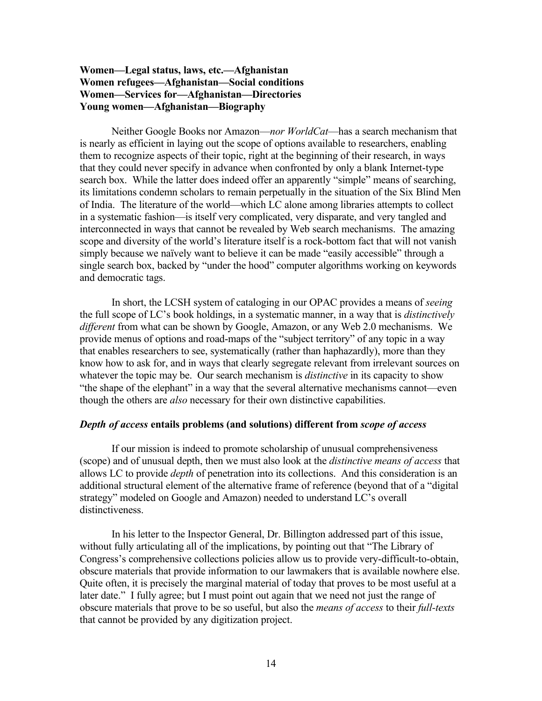# **Women—Legal status, laws, etc.—Afghanistan Women refugees—Afghanistan—Social conditions Women—Services for—Afghanistan—Directories Young women—Afghanistan—Biography**

Neither Google Books nor Amazon—*nor WorldCat*—has a search mechanism that is nearly as efficient in laying out the scope of options available to researchers, enabling them to recognize aspects of their topic, right at the beginning of their research, in ways that they could never specify in advance when confronted by only a blank Internet-type search box. While the latter does indeed offer an apparently "simple" means of searching, its limitations condemn scholars to remain perpetually in the situation of the Six Blind Men of India. The literature of the world—which LC alone among libraries attempts to collect in a systematic fashion—is itself very complicated, very disparate, and very tangled and interconnected in ways that cannot be revealed by Web search mechanisms. The amazing scope and diversity of the world's literature itself is a rock-bottom fact that will not vanish simply because we naïvely want to believe it can be made "easily accessible" through a single search box, backed by "under the hood" computer algorithms working on keywords and democratic tags.

In short, the LCSH system of cataloging in our OPAC provides a means of *seeing* the full scope of LC's book holdings, in a systematic manner, in a way that is *distinctively different* from what can be shown by Google, Amazon, or any Web 2.0 mechanisms. We provide menus of options and road-maps of the "subject territory" of any topic in a way that enables researchers to see, systematically (rather than haphazardly), more than they know how to ask for, and in ways that clearly segregate relevant from irrelevant sources on whatever the topic may be. Our search mechanism is *distinctive* in its capacity to show "the shape of the elephant" in a way that the several alternative mechanisms cannot—even though the others are *also* necessary for their own distinctive capabilities.

# *Depth of access* **entails problems (and solutions) different from** *scope of access*

If our mission is indeed to promote scholarship of unusual comprehensiveness (scope) and of unusual depth, then we must also look at the *distinctive means of access* that allows LC to provide *depth* of penetration into its collections. And this consideration is an additional structural element of the alternative frame of reference (beyond that of a "digital strategy" modeled on Google and Amazon) needed to understand LC's overall distinctiveness.

In his letter to the Inspector General, Dr. Billington addressed part of this issue, without fully articulating all of the implications, by pointing out that "The Library of Congress's comprehensive collections policies allow us to provide very-difficult-to-obtain, obscure materials that provide information to our lawmakers that is available nowhere else. Quite often, it is precisely the marginal material of today that proves to be most useful at a later date." I fully agree; but I must point out again that we need not just the range of obscure materials that prove to be so useful, but also the *means of access* to their *full-texts* that cannot be provided by any digitization project.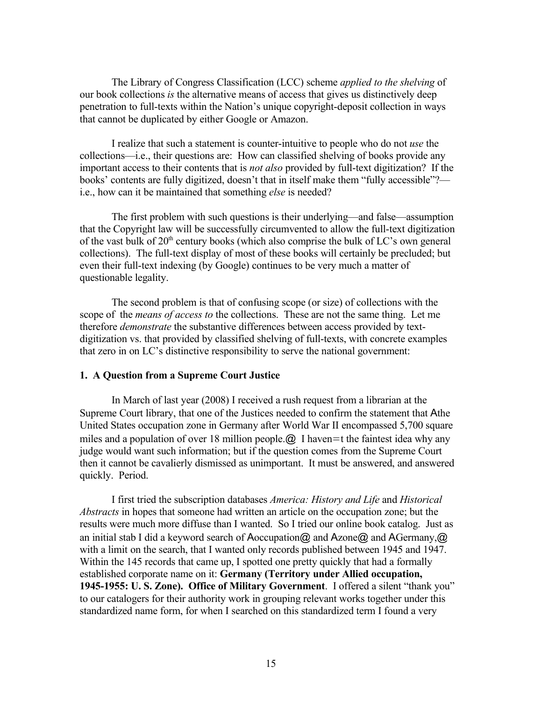The Library of Congress Classification (LCC) scheme *applied to the shelving* of our book collections *is* the alternative means of access that gives us distinctively deep penetration to full-texts within the Nation's unique copyright-deposit collection in ways that cannot be duplicated by either Google or Amazon.

I realize that such a statement is counter-intuitive to people who do not *use* the collections—i.e., their questions are: How can classified shelving of books provide any important access to their contents that is *not also* provided by full-text digitization? If the books' contents are fully digitized, doesn't that in itself make them "fully accessible"? i.e., how can it be maintained that something *else* is needed?

The first problem with such questions is their underlying—and false—assumption that the Copyright law will be successfully circumvented to allow the full-text digitization of the vast bulk of  $20<sup>th</sup>$  century books (which also comprise the bulk of LC's own general collections). The full-text display of most of these books will certainly be precluded; but even their full-text indexing (by Google) continues to be very much a matter of questionable legality.

The second problem is that of confusing scope (or size) of collections with the scope of the *means of access to* the collections. These are not the same thing. Let me therefore *demonstrate* the substantive differences between access provided by textdigitization vs. that provided by classified shelving of full-texts, with concrete examples that zero in on LC's distinctive responsibility to serve the national government:

### **1. A Question from a Supreme Court Justice**

In March of last year (2008) I received a rush request from a librarian at the Supreme Court library, that one of the Justices needed to confirm the statement that Athe United States occupation zone in Germany after World War II encompassed 5,700 square miles and a population of over 18 million people.  $\omega$  I haven = t the faintest idea why any judge would want such information; but if the question comes from the Supreme Court then it cannot be cavalierly dismissed as unimportant. It must be answered, and answered quickly. Period.

I first tried the subscription databases *America: History and Life* and *Historical Abstracts* in hopes that someone had written an article on the occupation zone; but the results were much more diffuse than I wanted. So I tried our online book catalog. Just as an initial stab I did a keyword search of Aoccupation  $\omega$  and Azone  $\omega$  and AGermany,  $\omega$ with a limit on the search, that I wanted only records published between 1945 and 1947. Within the 145 records that came up, I spotted one pretty quickly that had a formally established corporate name on it: **Germany (Territory under Allied occupation, 1945-1955: U. S. Zone). Office of Military Government**. I offered a silent "thank you" to our catalogers for their authority work in grouping relevant works together under this standardized name form, for when I searched on this standardized term I found a very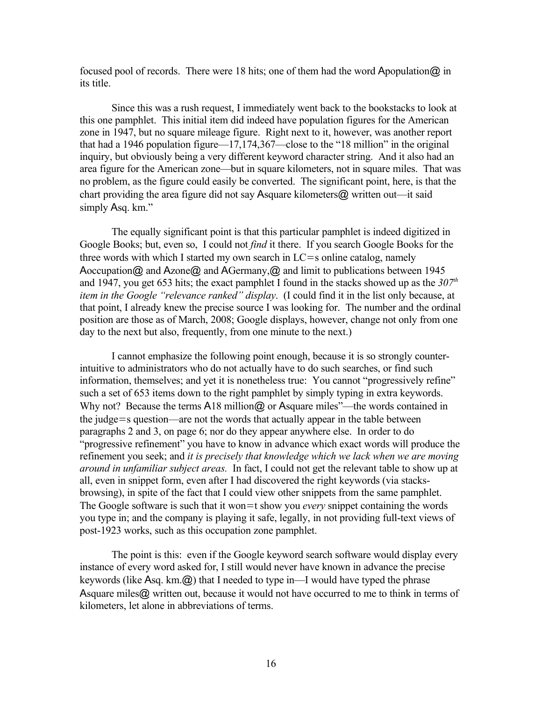focused pool of records. There were 18 hits; one of them had the word Apopulation  $\omega$  in its title.

Since this was a rush request, I immediately went back to the bookstacks to look at this one pamphlet. This initial item did indeed have population figures for the American zone in 1947, but no square mileage figure. Right next to it, however, was another report that had a 1946 population figure—17,174,367—close to the "18 million" in the original inquiry, but obviously being a very different keyword character string. And it also had an area figure for the American zone—but in square kilometers, not in square miles. That was no problem, as the figure could easily be converted. The significant point, here, is that the chart providing the area figure did not say Asquare kilometers@ written out—it said simply Asq. km."

The equally significant point is that this particular pamphlet is indeed digitized in Google Books; but, even so, I could not *find* it there. If you search Google Books for the three words with which I started my own search in  $LC = s$  online catalog, namely Aoccupation  $\omega$  and Azone  $\omega$  and AGermany,  $\omega$  and limit to publications between 1945 and 1947, you get 653 hits; the exact pamphlet I found in the stacks showed up as the *307th item in the Google "relevance ranked" display*. (I could find it in the list only because, at that point, I already knew the precise source I was looking for. The number and the ordinal position are those as of March, 2008; Google displays, however, change not only from one day to the next but also, frequently, from one minute to the next.)

I cannot emphasize the following point enough, because it is so strongly counterintuitive to administrators who do not actually have to do such searches, or find such information, themselves; and yet it is nonetheless true: You cannot "progressively refine" such a set of 653 items down to the right pamphlet by simply typing in extra keywords. Why not? Because the terms A18 million@ or Asquare miles"—the words contained in the judge=s question—are not the words that actually appear in the table between paragraphs 2 and 3, on page 6; nor do they appear anywhere else. In order to do "progressive refinement" you have to know in advance which exact words will produce the refinement you seek; and *it is precisely that knowledge which we lack when we are moving around in unfamiliar subject areas.* In fact, I could not get the relevant table to show up at all, even in snippet form, even after I had discovered the right keywords (via stacksbrowsing), in spite of the fact that I could view other snippets from the same pamphlet. The Google software is such that it won=t show you *every* snippet containing the words you type in; and the company is playing it safe, legally, in not providing full-text views of post-1923 works, such as this occupation zone pamphlet.

The point is this: even if the Google keyword search software would display every instance of every word asked for, I still would never have known in advance the precise keywords (like Asq. km.@) that I needed to type in—I would have typed the phrase Asquare miles@ written out, because it would not have occurred to me to think in terms of kilometers, let alone in abbreviations of terms.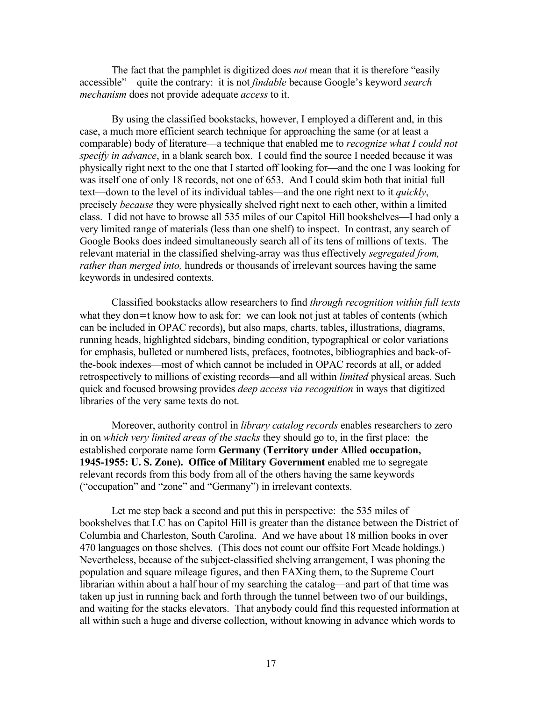The fact that the pamphlet is digitized does *not* mean that it is therefore "easily accessible"—quite the contrary: it is not *findable* because Google's keyword *search mechanism* does not provide adequate *access* to it.

By using the classified bookstacks, however, I employed a different and, in this case, a much more efficient search technique for approaching the same (or at least a comparable) body of literature—a technique that enabled me to *recognize what I could not specify in advance*, in a blank search box. I could find the source I needed because it was physically right next to the one that I started off looking for—and the one I was looking for was itself one of only 18 records, not one of 653. And I could skim both that initial full text—down to the level of its individual tables—and the one right next to it *quickly*, precisely *because* they were physically shelved right next to each other, within a limited class. I did not have to browse all 535 miles of our Capitol Hill bookshelves—I had only a very limited range of materials (less than one shelf) to inspect. In contrast, any search of Google Books does indeed simultaneously search all of its tens of millions of texts. The relevant material in the classified shelving-array was thus effectively *segregated from, rather than merged into,* hundreds or thousands of irrelevant sources having the same keywords in undesired contexts.

Classified bookstacks allow researchers to find *through recognition within full texts* what they don=t know how to ask for: we can look not just at tables of contents (which can be included in OPAC records), but also maps, charts, tables, illustrations, diagrams, running heads, highlighted sidebars, binding condition, typographical or color variations for emphasis, bulleted or numbered lists, prefaces, footnotes, bibliographies and back-ofthe-book indexes—most of which cannot be included in OPAC records at all, or added retrospectively to millions of existing records—and all within *limited* physical areas. Such quick and focused browsing provides *deep access via recognition* in ways that digitized libraries of the very same texts do not.

Moreover, authority control in *library catalog records* enables researchers to zero in on *which very limited areas of the stacks* they should go to, in the first place: the established corporate name form **Germany (Territory under Allied occupation, 1945-1955: U. S. Zone). Office of Military Government** enabled me to segregate relevant records from this body from all of the others having the same keywords ("occupation" and "zone" and "Germany") in irrelevant contexts.

Let me step back a second and put this in perspective: the 535 miles of bookshelves that LC has on Capitol Hill is greater than the distance between the District of Columbia and Charleston, South Carolina. And we have about 18 million books in over 470 languages on those shelves. (This does not count our offsite Fort Meade holdings.) Nevertheless, because of the subject-classified shelving arrangement, I was phoning the population and square mileage figures, and then FAXing them, to the Supreme Court librarian within about a half hour of my searching the catalog—and part of that time was taken up just in running back and forth through the tunnel between two of our buildings, and waiting for the stacks elevators. That anybody could find this requested information at all within such a huge and diverse collection, without knowing in advance which words to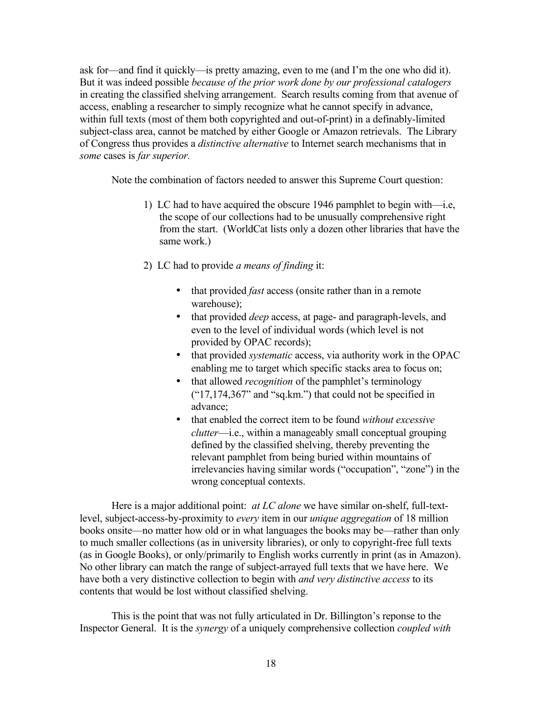ask for—and find it quickly—is pretty amazing, even to me (and I'm the one who did it). But it was indeed possible *because of the prior work done by our professional catalogers* in creating the classified shelving arrangement. Search results coming from that avenue of access, enabling a researcher to simply recognize what he cannot specify in advance, within full texts (most of them both copyrighted and out-of-print) in a definably-limited subject-class area, cannot be matched by either Google or Amazon retrievals. The Library of Congress thus provides a *distinctive alternative* to Internet search mechanisms that in *some* cases is *far superior.*

Note the combination of factors needed to answer this Supreme Court question:

- 1) LC had to have acquired the obscure 1946 pamphlet to begin with—i.e, the scope of our collections had to be unusually comprehensive right from the start. (WorldCat lists only a dozen other libraries that have the same work.)
- 2) LC had to provide *a means of finding* it:
	- that provided *fast* access (onsite rather than in a remote warehouse);
	- that provided *deep* access, at page- and paragraph-levels, and even to the level of individual words (which level is not provided by OPAC records);
	- that provided *systematic* access, via authority work in the OPAC enabling me to target which specific stacks area to focus on;
	- that allowed *recognition* of the pamphlet's terminology ("17,174,367" and "sq.km.") that could not be specified in advance;
	- that enabled the correct item to be found *without excessive clutter*—i.e., within a manageably small conceptual grouping defined by the classified shelving, thereby preventing the relevant pamphlet from being buried within mountains of irrelevancies having similar words ("occupation", "zone") in the wrong conceptual contexts.

Here is a major additional point: *at LC alone* we have similar on-shelf, full-textlevel, subject-access-by-proximity to *every* item in our *unique aggregation* of 18 million books onsite—no matter how old or in what languages the books may be—rather than only to much smaller collections (as in university libraries), or only to copyright-free full texts (as in Google Books), or only/primarily to English works currently in print (as in Amazon). No other library can match the range of subject-arrayed full texts that we have here. We have both a very distinctive collection to begin with *and very distinctive access* to its contents that would be lost without classified shelving.

This is the point that was not fully articulated in Dr. Billington's reponse to the Inspector General. It is the *synergy* of a uniquely comprehensive collection *coupled with*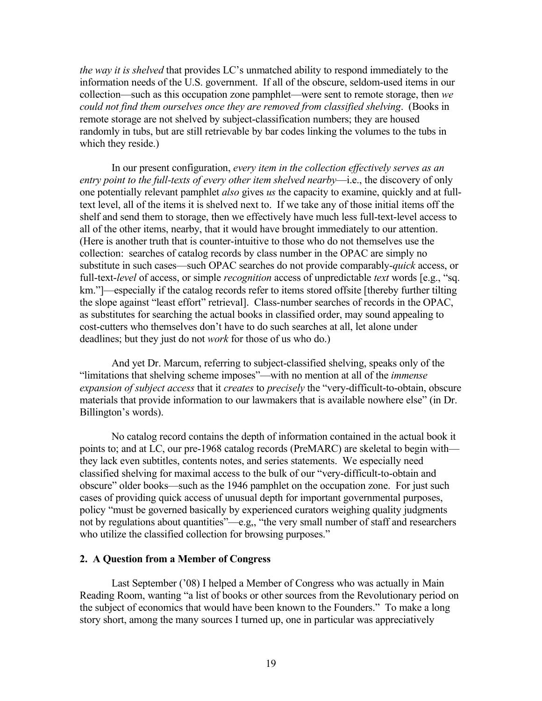*the way it is shelved* that provides LC's unmatched ability to respond immediately to the information needs of the U.S. government. If all of the obscure, seldom-used items in our collection—such as this occupation zone pamphlet—were sent to remote storage, then *we could not find them ourselves once they are removed from classified shelving*. (Books in remote storage are not shelved by subject-classification numbers; they are housed randomly in tubs, but are still retrievable by bar codes linking the volumes to the tubs in which they reside.)

In our present configuration, *every item in the collection effectively serves as an entry point to the full-texts of every other item shelved nearby*—i.e., the discovery of only one potentially relevant pamphlet *also* gives *us* the capacity to examine, quickly and at fulltext level, all of the items it is shelved next to. If we take any of those initial items off the shelf and send them to storage, then we effectively have much less full-text-level access to all of the other items, nearby, that it would have brought immediately to our attention. (Here is another truth that is counter-intuitive to those who do not themselves use the collection: searches of catalog records by class number in the OPAC are simply no substitute in such cases—such OPAC searches do not provide comparably-*quick* access, or full-text-*level* of access, or simple *recognition* access of unpredictable *text* words [e.g., "sq. km."]—especially if the catalog records refer to items stored offsite [thereby further tilting the slope against "least effort" retrieval]. Class-number searches of records in the OPAC, as substitutes for searching the actual books in classified order, may sound appealing to cost-cutters who themselves don't have to do such searches at all, let alone under deadlines; but they just do not *work* for those of us who do.)

And yet Dr. Marcum, referring to subject-classified shelving, speaks only of the "limitations that shelving scheme imposes"—with no mention at all of the *immense expansion of subject access* that it *creates* to *precisely* the "very-difficult-to-obtain, obscure materials that provide information to our lawmakers that is available nowhere else" (in Dr. Billington's words).

No catalog record contains the depth of information contained in the actual book it points to; and at LC, our pre-1968 catalog records (PreMARC) are skeletal to begin with they lack even subtitles, contents notes, and series statements. We especially need classified shelving for maximal access to the bulk of our "very-difficult-to-obtain and obscure" older books—such as the 1946 pamphlet on the occupation zone. For just such cases of providing quick access of unusual depth for important governmental purposes, policy "must be governed basically by experienced curators weighing quality judgments not by regulations about quantities"—e.g,, "the very small number of staff and researchers who utilize the classified collection for browsing purposes."

#### **2. A Question from a Member of Congress**

Last September ('08) I helped a Member of Congress who was actually in Main Reading Room, wanting "a list of books or other sources from the Revolutionary period on the subject of economics that would have been known to the Founders." To make a long story short, among the many sources I turned up, one in particular was appreciatively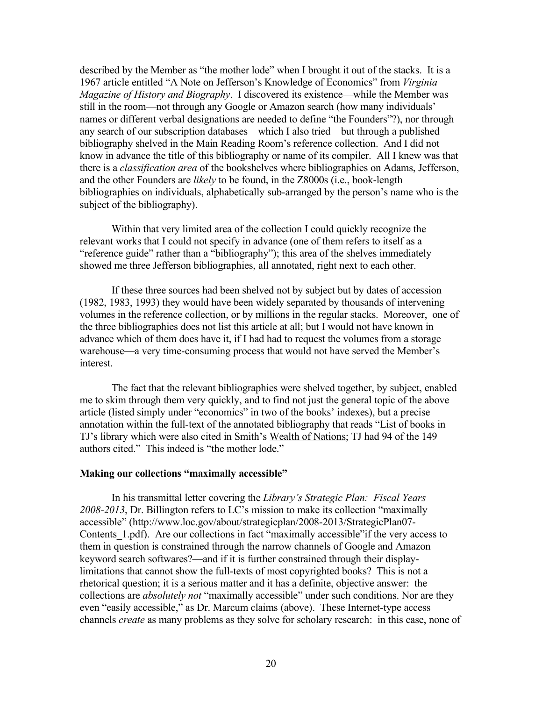described by the Member as "the mother lode" when I brought it out of the stacks. It is a 1967 article entitled "A Note on Jefferson's Knowledge of Economics" from *Virginia Magazine of History and Biography*. I discovered its existence—while the Member was still in the room—not through any Google or Amazon search (how many individuals' names or different verbal designations are needed to define "the Founders"?), nor through any search of our subscription databases—which I also tried—but through a published bibliography shelved in the Main Reading Room's reference collection. And I did not know in advance the title of this bibliography or name of its compiler. All I knew was that there is a *classification area* of the bookshelves where bibliographies on Adams, Jefferson, and the other Founders are *likely* to be found, in the Z8000s (i.e., book-length bibliographies on individuals, alphabetically sub-arranged by the person's name who is the subject of the bibliography).

Within that very limited area of the collection I could quickly recognize the relevant works that I could not specify in advance (one of them refers to itself as a "reference guide" rather than a "bibliography"); this area of the shelves immediately showed me three Jefferson bibliographies, all annotated, right next to each other.

If these three sources had been shelved not by subject but by dates of accession (1982, 1983, 1993) they would have been widely separated by thousands of intervening volumes in the reference collection, or by millions in the regular stacks. Moreover, one of the three bibliographies does not list this article at all; but I would not have known in advance which of them does have it, if I had had to request the volumes from a storage warehouse—a very time-consuming process that would not have served the Member's interest.

The fact that the relevant bibliographies were shelved together, by subject, enabled me to skim through them very quickly, and to find not just the general topic of the above article (listed simply under "economics" in two of the books' indexes), but a precise annotation within the full-text of the annotated bibliography that reads "List of books in TJ's library which were also cited in Smith's Wealth of Nations; TJ had 94 of the 149 authors cited." This indeed is "the mother lode."

# **Making our collections "maximally accessible"**

In his transmittal letter covering the *Library's Strategic Plan: Fiscal Years 2008-2013*, Dr. Billington refers to LC's mission to make its collection "maximally accessible" [\(http://www.loc.gov/about/strategicplan/2008-2013/StrategicPlan07-](http://www.loc.gov/about/strategicplan/2008-2013/StrategicPlan07-Contents_1.pdf) Contents 1.pdf). Are our collections in fact "maximally accessible" if the very access to them in question is constrained through the narrow channels of Google and Amazon keyword search softwares?—and if it is further constrained through their displaylimitations that cannot show the full-texts of most copyrighted books? This is not a rhetorical question; it is a serious matter and it has a definite, objective answer: the collections are *absolutely not* "maximally accessible" under such conditions. Nor are they even "easily accessible," as Dr. Marcum claims (above). These Internet-type access channels *create* as many problems as they solve for scholary research: in this case, none of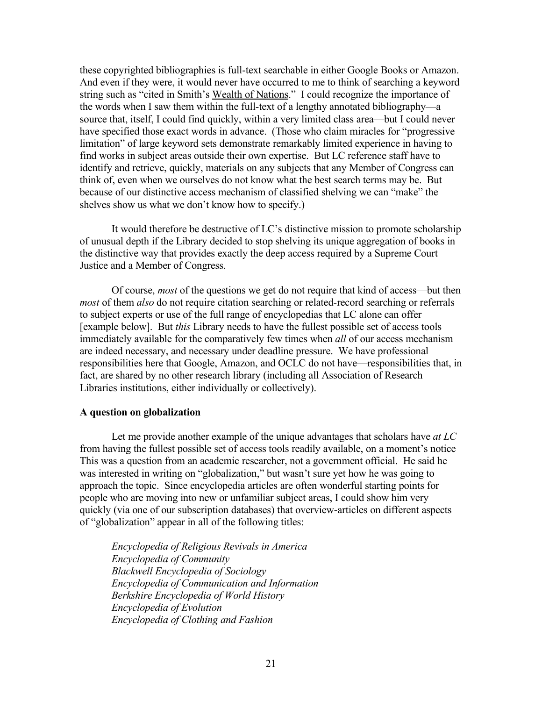these copyrighted bibliographies is full-text searchable in either Google Books or Amazon. And even if they were, it would never have occurred to me to think of searching a keyword string such as "cited in Smith's Wealth of Nations." I could recognize the importance of the words when I saw them within the full-text of a lengthy annotated bibliography—a source that, itself, I could find quickly, within a very limited class area—but I could never have specified those exact words in advance. (Those who claim miracles for "progressive limitation" of large keyword sets demonstrate remarkably limited experience in having to find works in subject areas outside their own expertise. But LC reference staff have to identify and retrieve, quickly, materials on any subjects that any Member of Congress can think of, even when we ourselves do not know what the best search terms may be. But because of our distinctive access mechanism of classified shelving we can "make" the shelves show us what we don't know how to specify.)

It would therefore be destructive of LC's distinctive mission to promote scholarship of unusual depth if the Library decided to stop shelving its unique aggregation of books in the distinctive way that provides exactly the deep access required by a Supreme Court Justice and a Member of Congress.

Of course, *most* of the questions we get do not require that kind of access—but then *most* of them *also* do not require citation searching or related-record searching or referrals to subject experts or use of the full range of encyclopedias that LC alone can offer [example below]. But *this* Library needs to have the fullest possible set of access tools immediately available for the comparatively few times when *all* of our access mechanism are indeed necessary, and necessary under deadline pressure. We have professional responsibilities here that Google, Amazon, and OCLC do not have—responsibilities that, in fact, are shared by no other research library (including all Association of Research Libraries institutions, either individually or collectively).

### **A question on globalization**

Let me provide another example of the unique advantages that scholars have *at LC* from having the fullest possible set of access tools readily available, on a moment's notice This was a question from an academic researcher, not a government official. He said he was interested in writing on "globalization," but wasn't sure yet how he was going to approach the topic. Since encyclopedia articles are often wonderful starting points for people who are moving into new or unfamiliar subject areas, I could show him very quickly (via one of our subscription databases) that overview-articles on different aspects of "globalization" appear in all of the following titles:

*Encyclopedia of Religious Revivals in America Encyclopedia of Community Blackwell Encyclopedia of Sociology Encyclopedia of Communication and Information Berkshire Encyclopedia of World History Encyclopedia of Evolution Encyclopedia of Clothing and Fashion*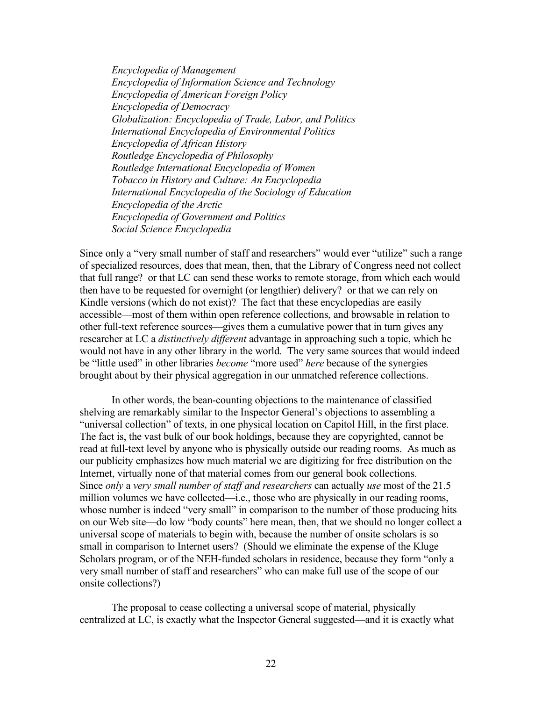*Encyclopedia of Management Encyclopedia of Information Science and Technology Encyclopedia of American Foreign Policy Encyclopedia of Democracy Globalization: Encyclopedia of Trade, Labor, and Politics International Encyclopedia of Environmental Politics Encyclopedia of African History Routledge Encyclopedia of Philosophy Routledge International Encyclopedia of Women Tobacco in History and Culture: An Encyclopedia International Encyclopedia of the Sociology of Education Encyclopedia of the Arctic Encyclopedia of Government and Politics Social Science Encyclopedia*

Since only a "very small number of staff and researchers" would ever "utilize" such a range of specialized resources, does that mean, then, that the Library of Congress need not collect that full range? or that LC can send these works to remote storage, from which each would then have to be requested for overnight (or lengthier) delivery? or that we can rely on Kindle versions (which do not exist)? The fact that these encyclopedias are easily accessible—most of them within open reference collections, and browsable in relation to other full-text reference sources—gives them a cumulative power that in turn gives any researcher at LC a *distinctively different* advantage in approaching such a topic, which he would not have in any other library in the world. The very same sources that would indeed be "little used" in other libraries *become* "more used" *here* because of the synergies brought about by their physical aggregation in our unmatched reference collections.

In other words, the bean-counting objections to the maintenance of classified shelving are remarkably similar to the Inspector General's objections to assembling a "universal collection" of texts, in one physical location on Capitol Hill, in the first place. The fact is, the vast bulk of our book holdings, because they are copyrighted, cannot be read at full-text level by anyone who is physically outside our reading rooms. As much as our publicity emphasizes how much material we are digitizing for free distribution on the Internet, virtually none of that material comes from our general book collections. Since *only* a *very small number of staff and researchers* can actually *use* most of the 21.5 million volumes we have collected—i.e., those who are physically in our reading rooms, whose number is indeed "very small" in comparison to the number of those producing hits on our Web site—do low "body counts" here mean, then, that we should no longer collect a universal scope of materials to begin with, because the number of onsite scholars is so small in comparison to Internet users? (Should we eliminate the expense of the Kluge Scholars program, or of the NEH-funded scholars in residence, because they form "only a very small number of staff and researchers" who can make full use of the scope of our onsite collections?)

The proposal to cease collecting a universal scope of material, physically centralized at LC, is exactly what the Inspector General suggested—and it is exactly what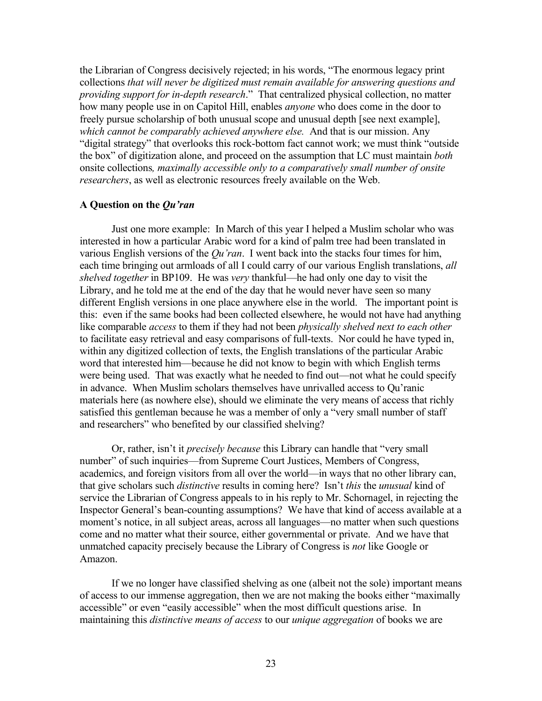the Librarian of Congress decisively rejected; in his words, "The enormous legacy print collections *that will never be digitized must remain available for answering questions and providing support for in-depth research*." That centralized physical collection, no matter how many people use in on Capitol Hill, enables *anyone* who does come in the door to freely pursue scholarship of both unusual scope and unusual depth [see next example], *which cannot be comparably achieved anywhere else.* And that is our mission. Any "digital strategy" that overlooks this rock-bottom fact cannot work; we must think "outside the box" of digitization alone, and proceed on the assumption that LC must maintain *both* onsite collections*, maximally accessible only to a comparatively small number of onsite researchers*, as well as electronic resources freely available on the Web.

## **A Question on the** *Qu'ran*

Just one more example: In March of this year I helped a Muslim scholar who was interested in how a particular Arabic word for a kind of palm tree had been translated in various English versions of the *Qu'ran*. I went back into the stacks four times for him, each time bringing out armloads of all I could carry of our various English translations, *all shelved together* in BP109. He was *very* thankful—he had only one day to visit the Library, and he told me at the end of the day that he would never have seen so many different English versions in one place anywhere else in the world. The important point is this: even if the same books had been collected elsewhere, he would not have had anything like comparable *access* to them if they had not been *physically shelved next to each other* to facilitate easy retrieval and easy comparisons of full-texts. Nor could he have typed in, within any digitized collection of texts, the English translations of the particular Arabic word that interested him—because he did not know to begin with which English terms were being used. That was exactly what he needed to find out—not what he could specify in advance. When Muslim scholars themselves have unrivalled access to Qu'ranic materials here (as nowhere else), should we eliminate the very means of access that richly satisfied this gentleman because he was a member of only a "very small number of staff and researchers" who benefited by our classified shelving?

Or, rather, isn't it *precisely because* this Library can handle that "very small number" of such inquiries—from Supreme Court Justices, Members of Congress, academics, and foreign visitors from all over the world—in ways that no other library can, that give scholars such *distinctive* results in coming here? Isn't *this* the *unusual* kind of service the Librarian of Congress appeals to in his reply to Mr. Schornagel, in rejecting the Inspector General's bean-counting assumptions? We have that kind of access available at a moment's notice, in all subject areas, across all languages—no matter when such questions come and no matter what their source, either governmental or private. And we have that unmatched capacity precisely because the Library of Congress is *not* like Google or Amazon.

If we no longer have classified shelving as one (albeit not the sole) important means of access to our immense aggregation, then we are not making the books either "maximally accessible" or even "easily accessible" when the most difficult questions arise. In maintaining this *distinctive means of access* to our *unique aggregation* of books we are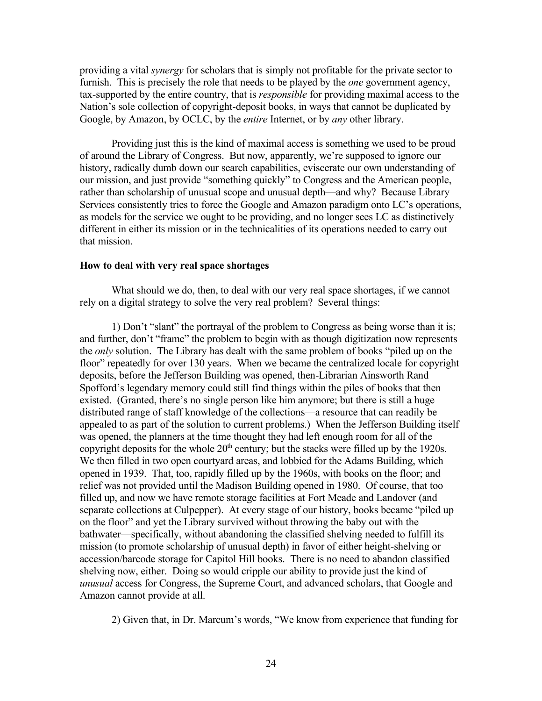providing a vital *synergy* for scholars that is simply not profitable for the private sector to furnish. This is precisely the role that needs to be played by the *one* government agency, tax-supported by the entire country, that is *responsible* for providing maximal access to the Nation's sole collection of copyright-deposit books, in ways that cannot be duplicated by Google, by Amazon, by OCLC, by the *entire* Internet, or by *any* other library.

Providing just this is the kind of maximal access is something we used to be proud of around the Library of Congress. But now, apparently, we're supposed to ignore our history, radically dumb down our search capabilities, eviscerate our own understanding of our mission, and just provide "something quickly" to Congress and the American people, rather than scholarship of unusual scope and unusual depth—and why? Because Library Services consistently tries to force the Google and Amazon paradigm onto LC's operations, as models for the service we ought to be providing, and no longer sees LC as distinctively different in either its mission or in the technicalities of its operations needed to carry out that mission.

## **How to deal with very real space shortages**

What should we do, then, to deal with our very real space shortages, if we cannot rely on a digital strategy to solve the very real problem? Several things:

1) Don't "slant" the portrayal of the problem to Congress as being worse than it is; and further, don't "frame" the problem to begin with as though digitization now represents the *only* solution. The Library has dealt with the same problem of books "piled up on the floor" repeatedly for over 130 years. When we became the centralized locale for copyright deposits, before the Jefferson Building was opened, then-Librarian Ainsworth Rand Spofford's legendary memory could still find things within the piles of books that then existed. (Granted, there's no single person like him anymore; but there is still a huge distributed range of staff knowledge of the collections—a resource that can readily be appealed to as part of the solution to current problems.) When the Jefferson Building itself was opened, the planners at the time thought they had left enough room for all of the copyright deposits for the whole  $20<sup>th</sup>$  century; but the stacks were filled up by the 1920s. We then filled in two open courtyard areas, and lobbied for the Adams Building, which opened in 1939. That, too, rapidly filled up by the 1960s, with books on the floor; and relief was not provided until the Madison Building opened in 1980. Of course, that too filled up, and now we have remote storage facilities at Fort Meade and Landover (and separate collections at Culpepper). At every stage of our history, books became "piled up on the floor" and yet the Library survived without throwing the baby out with the bathwater—specifically, without abandoning the classified shelving needed to fulfill its mission (to promote scholarship of unusual depth) in favor of either height-shelving or accession/barcode storage for Capitol Hill books. There is no need to abandon classified shelving now, either. Doing so would cripple our ability to provide just the kind of *unusual* access for Congress, the Supreme Court, and advanced scholars, that Google and Amazon cannot provide at all.

2) Given that, in Dr. Marcum's words, "We know from experience that funding for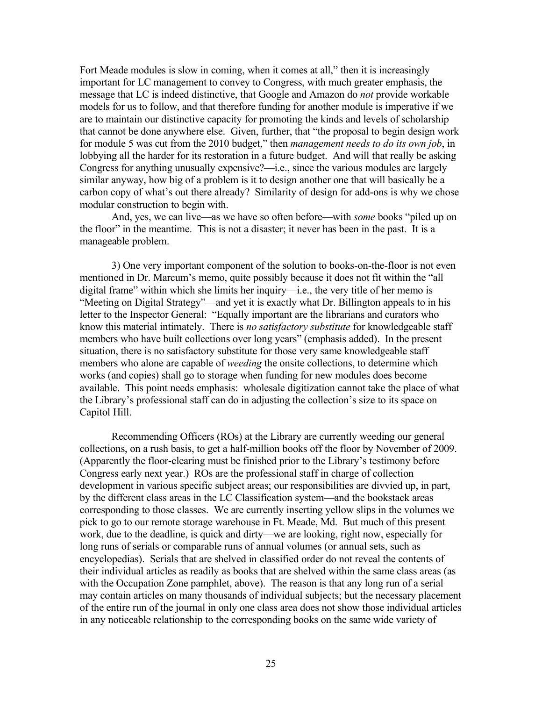Fort Meade modules is slow in coming, when it comes at all," then it is increasingly important for LC management to convey to Congress, with much greater emphasis, the message that LC is indeed distinctive, that Google and Amazon do *not* provide workable models for us to follow, and that therefore funding for another module is imperative if we are to maintain our distinctive capacity for promoting the kinds and levels of scholarship that cannot be done anywhere else. Given, further, that "the proposal to begin design work for module 5 was cut from the 2010 budget," then *management needs to do its own job*, in lobbying all the harder for its restoration in a future budget. And will that really be asking Congress for anything unusually expensive?—i.e., since the various modules are largely similar anyway, how big of a problem is it to design another one that will basically be a carbon copy of what's out there already? Similarity of design for add-ons is why we chose modular construction to begin with.

And, yes, we can live—as we have so often before—with *some* books "piled up on the floor" in the meantime. This is not a disaster; it never has been in the past. It is a manageable problem.

3) One very important component of the solution to books-on-the-floor is not even mentioned in Dr. Marcum's memo, quite possibly because it does not fit within the "all digital frame" within which she limits her inquiry—i.e., the very title of her memo is "Meeting on Digital Strategy"—and yet it is exactly what Dr. Billington appeals to in his letter to the Inspector General: "Equally important are the librarians and curators who know this material intimately. There is *no satisfactory substitute* for knowledgeable staff members who have built collections over long years" (emphasis added). In the present situation, there is no satisfactory substitute for those very same knowledgeable staff members who alone are capable of *weeding* the onsite collections, to determine which works (and copies) shall go to storage when funding for new modules does become available. This point needs emphasis: wholesale digitization cannot take the place of what the Library's professional staff can do in adjusting the collection's size to its space on Capitol Hill.

Recommending Officers (ROs) at the Library are currently weeding our general collections, on a rush basis, to get a half-million books off the floor by November of 2009. (Apparently the floor-clearing must be finished prior to the Library's testimony before Congress early next year.) ROs are the professional staff in charge of collection development in various specific subject areas; our responsibilities are divvied up, in part, by the different class areas in the LC Classification system—and the bookstack areas corresponding to those classes. We are currently inserting yellow slips in the volumes we pick to go to our remote storage warehouse in Ft. Meade, Md. But much of this present work, due to the deadline, is quick and dirty—we are looking, right now, especially for long runs of serials or comparable runs of annual volumes (or annual sets, such as encyclopedias). Serials that are shelved in classified order do not reveal the contents of their individual articles as readily as books that are shelved within the same class areas (as with the Occupation Zone pamphlet, above). The reason is that any long run of a serial may contain articles on many thousands of individual subjects; but the necessary placement of the entire run of the journal in only one class area does not show those individual articles in any noticeable relationship to the corresponding books on the same wide variety of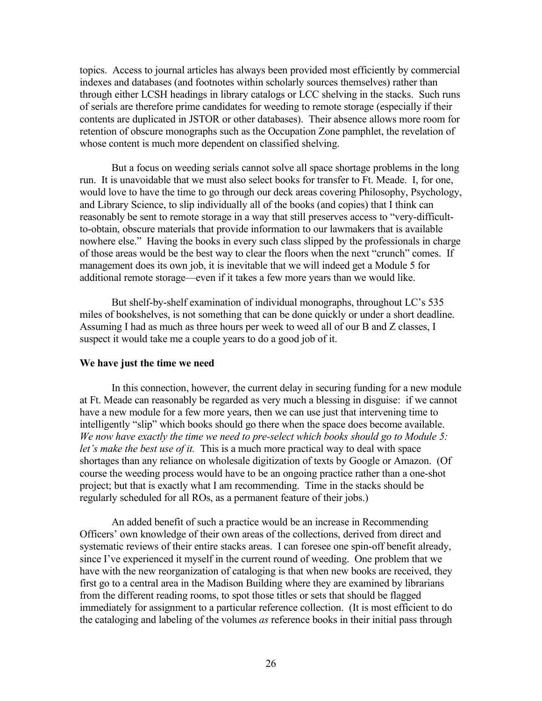topics. Access to journal articles has always been provided most efficiently by commercial indexes and databases (and footnotes within scholarly sources themselves) rather than through either LCSH headings in library catalogs or LCC shelving in the stacks. Such runs of serials are therefore prime candidates for weeding to remote storage (especially if their contents are duplicated in JSTOR or other databases). Their absence allows more room for retention of obscure monographs such as the Occupation Zone pamphlet, the revelation of whose content is much more dependent on classified shelving.

But a focus on weeding serials cannot solve all space shortage problems in the long run. It is unavoidable that we must also select books for transfer to Ft. Meade. I, for one, would love to have the time to go through our deck areas covering Philosophy, Psychology, and Library Science, to slip individually all of the books (and copies) that I think can reasonably be sent to remote storage in a way that still preserves access to "very-difficultto-obtain, obscure materials that provide information to our lawmakers that is available nowhere else." Having the books in every such class slipped by the professionals in charge of those areas would be the best way to clear the floors when the next "crunch" comes. If management does its own job, it is inevitable that we will indeed get a Module 5 for additional remote storage—even if it takes a few more years than we would like.

But shelf-by-shelf examination of individual monographs, throughout LC's 535 miles of bookshelves, is not something that can be done quickly or under a short deadline. Assuming I had as much as three hours per week to weed all of our B and Z classes, I suspect it would take me a couple years to do a good job of it.

## **We have just the time we need**

In this connection, however, the current delay in securing funding for a new module at Ft. Meade can reasonably be regarded as very much a blessing in disguise: if we cannot have a new module for a few more years, then we can use just that intervening time to intelligently "slip" which books should go there when the space does become available. *We now have exactly the time we need to pre-select which books should go to Module 5: let's make the best use of it.* This is a much more practical way to deal with space shortages than any reliance on wholesale digitization of texts by Google or Amazon. (Of course the weeding process would have to be an ongoing practice rather than a one-shot project; but that is exactly what I am recommending. Time in the stacks should be regularly scheduled for all ROs, as a permanent feature of their jobs.)

An added benefit of such a practice would be an increase in Recommending Officers' own knowledge of their own areas of the collections, derived from direct and systematic reviews of their entire stacks areas. I can foresee one spin-off benefit already, since I've experienced it myself in the current round of weeding. One problem that we have with the new reorganization of cataloging is that when new books are received, they first go to a central area in the Madison Building where they are examined by librarians from the different reading rooms, to spot those titles or sets that should be flagged immediately for assignment to a particular reference collection. (It is most efficient to do the cataloging and labeling of the volumes *as* reference books in their initial pass through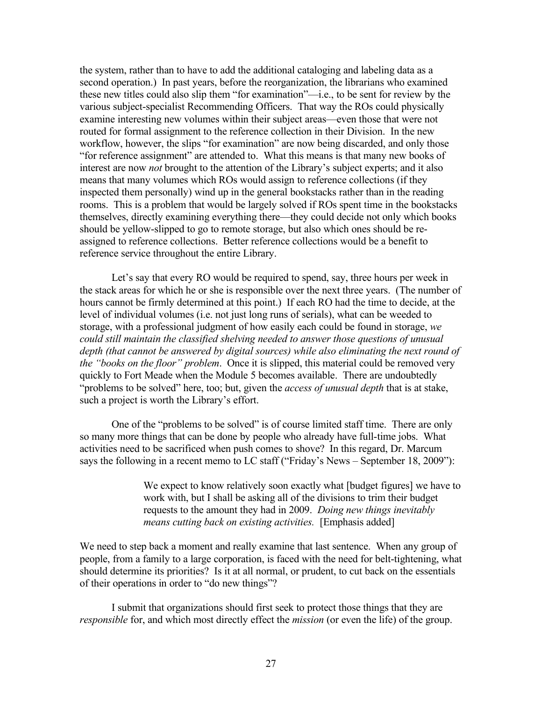the system, rather than to have to add the additional cataloging and labeling data as a second operation.) In past years, before the reorganization, the librarians who examined these new titles could also slip them "for examination"—i.e., to be sent for review by the various subject-specialist Recommending Officers. That way the ROs could physically examine interesting new volumes within their subject areas—even those that were not routed for formal assignment to the reference collection in their Division. In the new workflow, however, the slips "for examination" are now being discarded, and only those "for reference assignment" are attended to. What this means is that many new books of interest are now *not* brought to the attention of the Library's subject experts; and it also means that many volumes which ROs would assign to reference collections (if they inspected them personally) wind up in the general bookstacks rather than in the reading rooms. This is a problem that would be largely solved if ROs spent time in the bookstacks themselves, directly examining everything there—they could decide not only which books should be yellow-slipped to go to remote storage, but also which ones should be reassigned to reference collections. Better reference collections would be a benefit to reference service throughout the entire Library.

Let's say that every RO would be required to spend, say, three hours per week in the stack areas for which he or she is responsible over the next three years. (The number of hours cannot be firmly determined at this point.) If each RO had the time to decide, at the level of individual volumes (i.e. not just long runs of serials), what can be weeded to storage, with a professional judgment of how easily each could be found in storage, *we could still maintain the classified shelving needed to answer those questions of unusual depth (that cannot be answered by digital sources) while also eliminating the next round of the "books on the floor" problem*. Once it is slipped, this material could be removed very quickly to Fort Meade when the Module 5 becomes available. There are undoubtedly "problems to be solved" here, too; but, given the *access of unusual depth* that is at stake, such a project is worth the Library's effort.

One of the "problems to be solved" is of course limited staff time. There are only so many more things that can be done by people who already have full-time jobs. What activities need to be sacrificed when push comes to shove? In this regard, Dr. Marcum says the following in a recent memo to LC staff ("Friday's News – September 18, 2009"):

> We expect to know relatively soon exactly what [budget figures] we have to work with, but I shall be asking all of the divisions to trim their budget requests to the amount they had in 2009. *Doing new things inevitably means cutting back on existing activities.* [Emphasis added]

We need to step back a moment and really examine that last sentence. When any group of people, from a family to a large corporation, is faced with the need for belt-tightening, what should determine its priorities? Is it at all normal, or prudent, to cut back on the essentials of their operations in order to "do new things"?

I submit that organizations should first seek to protect those things that they are *responsible* for, and which most directly effect the *mission* (or even the life) of the group.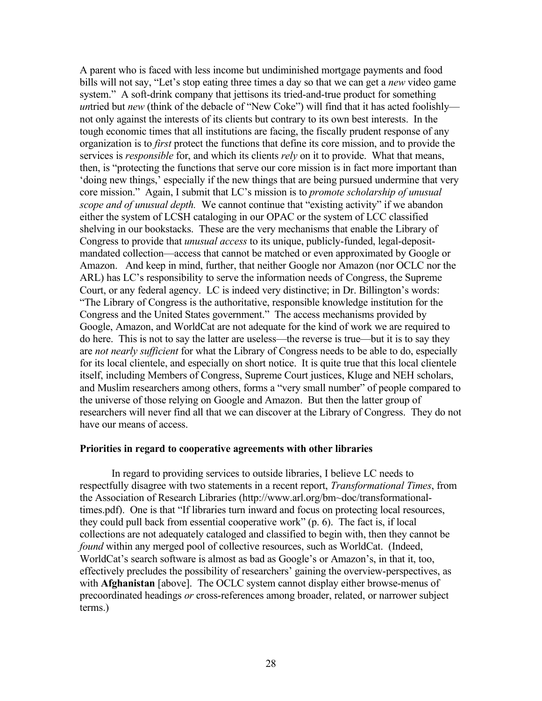A parent who is faced with less income but undiminished mortgage payments and food bills will not say, "Let's stop eating three times a day so that we can get a *new* video game system." A soft-drink company that jettisons its tried-and-true product for something *untried but new* (think of the debacle of "New Coke") will find that it has acted foolishly not only against the interests of its clients but contrary to its own best interests. In the tough economic times that all institutions are facing, the fiscally prudent response of any organization is to *first* protect the functions that define its core mission, and to provide the services is *responsible* for, and which its clients *rely* on it to provide. What that means, then, is "protecting the functions that serve our core mission is in fact more important than 'doing new things,' especially if the new things that are being pursued undermine that very core mission." Again, I submit that LC's mission is to *promote scholarship of unusual scope and of unusual depth.* We cannot continue that "existing activity" if we abandon either the system of LCSH cataloging in our OPAC or the system of LCC classified shelving in our bookstacks. These are the very mechanisms that enable the Library of Congress to provide that *unusual access* to its unique, publicly-funded, legal-depositmandated collection—access that cannot be matched or even approximated by Google or Amazon. And keep in mind, further, that neither Google nor Amazon (nor OCLC nor the ARL) has LC's responsibility to serve the information needs of Congress, the Supreme Court, or any federal agency. LC is indeed very distinctive; in Dr. Billington's words: "The Library of Congress is the authoritative, responsible knowledge institution for the Congress and the United States government." The access mechanisms provided by Google, Amazon, and WorldCat are not adequate for the kind of work we are required to do here. This is not to say the latter are useless—the reverse is true—but it is to say they are *not nearly sufficient* for what the Library of Congress needs to be able to do, especially for its local clientele, and especially on short notice. It is quite true that this local clientele itself, including Members of Congress, Supreme Court justices, Kluge and NEH scholars, and Muslim researchers among others, forms a "very small number" of people compared to the universe of those relying on Google and Amazon. But then the latter group of researchers will never find all that we can discover at the Library of Congress. They do not have our means of access.

## **Priorities in regard to cooperative agreements with other libraries**

In regard to providing services to outside libraries, I believe LC needs to respectfully disagree with two statements in a recent report, *Transformational Times*, from the Association of Research Libraries [\(http://www.arl.org/bm~doc/transformational](http://www.arl.org/bm~doc/transformational-times.pdf)[times.pdf\)](http://www.arl.org/bm~doc/transformational-times.pdf). One is that "If libraries turn inward and focus on protecting local resources, they could pull back from essential cooperative work" (p. 6). The fact is, if local collections are not adequately cataloged and classified to begin with, then they cannot be *found* within any merged pool of collective resources, such as WorldCat. (Indeed, WorldCat's search software is almost as bad as Google's or Amazon's, in that it, too, effectively precludes the possibility of researchers' gaining the overview-perspectives, as with **Afghanistan** [above]. The OCLC system cannot display either browse-menus of precoordinated headings *or* cross-references among broader, related, or narrower subject terms.)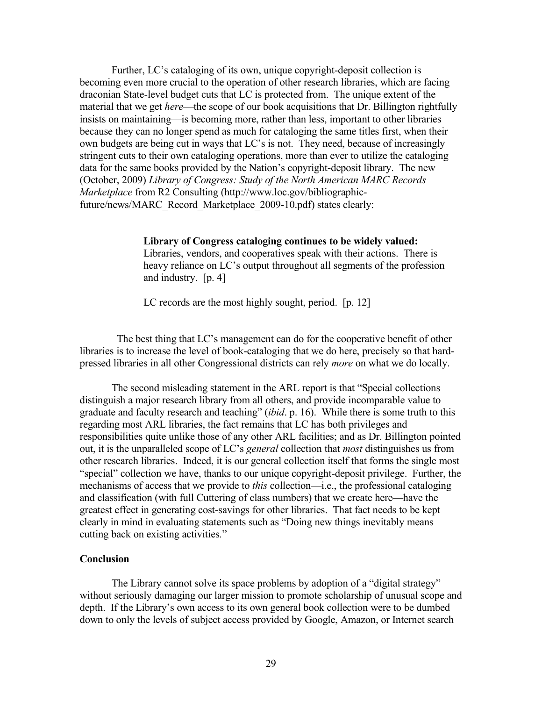Further, LC's cataloging of its own, unique copyright-deposit collection is becoming even more crucial to the operation of other research libraries, which are facing draconian State-level budget cuts that LC is protected from. The unique extent of the material that we get *here*—the scope of our book acquisitions that Dr. Billington rightfully insists on maintaining—is becoming more, rather than less, important to other libraries because they can no longer spend as much for cataloging the same titles first, when their own budgets are being cut in ways that LC's is not. They need, because of increasingly stringent cuts to their own cataloging operations, more than ever to utilize the cataloging data for the same books provided by the Nation's copyright-deposit library. The new (October, 2009) *Library of Congress: Study of the North American MARC Records Marketplace* from R2 Consulting [\(http://www.loc.gov/bibliographic](http://www.loc.gov/bibliographic-future/news/MARC_Record_Marketplace_2009-10.pdf)[future/news/MARC\\_Record\\_Marketplace\\_2009-10.pdf\)](http://www.loc.gov/bibliographic-future/news/MARC_Record_Marketplace_2009-10.pdf) states clearly:

### **Library of Congress cataloging continues to be widely valued:**

Libraries, vendors, and cooperatives speak with their actions. There is heavy reliance on LC's output throughout all segments of the profession and industry. [p. 4]

LC records are the most highly sought, period. [p. 12]

 The best thing that LC's management can do for the cooperative benefit of other libraries is to increase the level of book-cataloging that we do here, precisely so that hardpressed libraries in all other Congressional districts can rely *more* on what we do locally.

The second misleading statement in the ARL report is that "Special collections distinguish a major research library from all others, and provide incomparable value to graduate and faculty research and teaching" (*ibid*. p. 16). While there is some truth to this regarding most ARL libraries, the fact remains that LC has both privileges and responsibilities quite unlike those of any other ARL facilities; and as Dr. Billington pointed out, it is the unparalleled scope of LC's *general* collection that *most* distinguishes us from other research libraries. Indeed, it is our general collection itself that forms the single most "special" collection we have, thanks to our unique copyright-deposit privilege. Further, the mechanisms of access that we provide to *this* collection—i.e., the professional cataloging and classification (with full Cuttering of class numbers) that we create here—have the greatest effect in generating cost-savings for other libraries. That fact needs to be kept clearly in mind in evaluating statements such as "Doing new things inevitably means cutting back on existing activities*.*"

# **Conclusion**

The Library cannot solve its space problems by adoption of a "digital strategy" without seriously damaging our larger mission to promote scholarship of unusual scope and depth. If the Library's own access to its own general book collection were to be dumbed down to only the levels of subject access provided by Google, Amazon, or Internet search